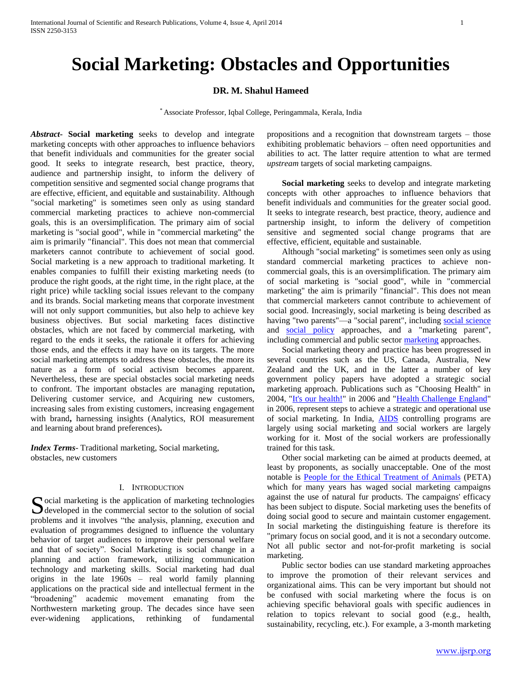# **Social Marketing: Obstacles and Opportunities**

## **DR. M. Shahul Hameed**

\* Associate Professor, Iqbal College, Peringammala, Kerala, India

*Abstract***- Social marketing** seeks to develop and integrate marketing concepts with other approaches to influence behaviors that benefit individuals and communities for the greater social good. It seeks to integrate research, best practice, theory, audience and partnership insight, to inform the delivery of competition sensitive and segmented social change programs that are effective, efficient, and equitable and sustainability. Although "social marketing" is sometimes seen only as using standard commercial marketing practices to achieve non-commercial goals, this is an oversimplification. The primary aim of social marketing is "social good", while in "commercial marketing" the aim is primarily "financial". This does not mean that commercial marketers cannot contribute to achievement of social good. Social marketing is a new approach to traditional marketing. It enables companies to fulfill their existing marketing needs (to produce the right goods, at the right time, in the right place, at the right price) while tackling social issues relevant to the company and its brands. Social marketing means that corporate investment will not only support communities, but also help to achieve key business objectives. But social marketing faces distinctive obstacles, which are not faced by commercial marketing, with regard to the ends it seeks, the rationale it offers for achieving those ends, and the effects it may have on its targets. The more social marketing attempts to address these obstacles, the more its nature as a form of social activism becomes apparent. Nevertheless, these are special obstacles social marketing needs to confront. The important obstacles are managing reputation**,** Delivering customer service, and Acquiring new customers, increasing sales from existing customers, increasing engagement with brand**,** harnessing insights (Analytics, ROI measurement and learning about brand preferences)**.**

*Index Terms*- Traditional marketing, Social marketing, obstacles, new customers

#### I. INTRODUCTION

Social marketing is the application of marketing technologies<br>developed in the commercial sector to the solution of social developed in the commercial sector to the solution of social problems and it involves "the analysis, planning, execution and evaluation of programmes designed to influence the voluntary behavior of target audiences to improve their personal welfare and that of society". Social Marketing is social change in a planning and action framework, utilizing communication technology and marketing skills. Social marketing had dual origins in the late 1960s – real world family planning applications on the practical side and intellectual ferment in the "broadening" academic movement emanating from the Northwestern marketing group. The decades since have seen ever-widening applications, rethinking of fundamental

propositions and a recognition that downstream targets – those exhibiting problematic behaviors – often need opportunities and abilities to act. The latter require attention to what are termed *upstream* targets of social marketing campaigns.

 **Social marketing** seeks to develop and integrate marketing concepts with other approaches to influence behaviors that benefit individuals and communities for the greater social good. It seeks to integrate research, best practice, theory, audience and partnership insight, to inform the delivery of competition sensitive and segmented social change programs that are effective, efficient, equitable and sustainable.

Although "social marketing" is sometimes seen only as using standard commercial marketing practices to achieve noncommercial goals, this is an oversimplification. The primary aim of social marketing is "social good", while in "commercial marketing" the aim is primarily "financial". This does not mean that commercial marketers cannot contribute to achievement of social good. Increasingly, social marketing is being described as having "two parents"—a "social parent", including [social science](http://en.wikipedia.org/wiki/Social_science) and [social policy](http://en.wikipedia.org/wiki/Social_policy) approaches, and a "marketing parent", including commercial and public sector [marketing](http://en.wikipedia.org/wiki/Marketing) approaches.

Social marketing theory and practice has been progressed in several countries such as the US, Canada, Australia, New Zealand and the UK, and in the latter a number of key government policy papers have adopted a strategic social marketing approach. Publications such as "Choosing Health" in 2004, ["It's our health!"](http://www.nsmcentre.org.uk/component/remository/NSMC-Publications/Its-Our-Health-%28Summary-Report%29/) in 2006 and ["Health Challenge England"](http://www.dh.gov.uk/en/Publicationsandstatistics/Publications/PublicationsPolicyAndGuidance/DH_4139514) in 2006, represent steps to achieve a strategic and operational use of social marketing. In India, [AIDS](http://en.wikipedia.org/wiki/AIDS) controlling programs are largely using social marketing and social workers are largely working for it. Most of the social workers are professionally trained for this task.

Other social marketing can be aimed at products deemed, at least by proponents, as socially unacceptable. One of the most notable is [People for the Ethical Treatment of Animals](http://en.wikipedia.org/wiki/People_for_the_Ethical_Treatment_of_Animals) (PETA) which for many years has waged social marketing campaigns against the use of natural fur products. The campaigns' efficacy has been subject to dispute. Social marketing uses the benefits of doing social good to secure and maintain customer engagement. In social marketing the distinguishing feature is therefore its "primary focus on social good, and it is not a secondary outcome. Not all public sector and not-for-profit marketing is social marketing.

Public sector bodies can use standard marketing approaches to improve the promotion of their relevant services and organizational aims. This can be very important but should not be confused with social marketing where the focus is on achieving specific behavioral goals with specific audiences in relation to topics relevant to social good (e.g., health, sustainability, recycling, etc.). For example, a 3-month marketing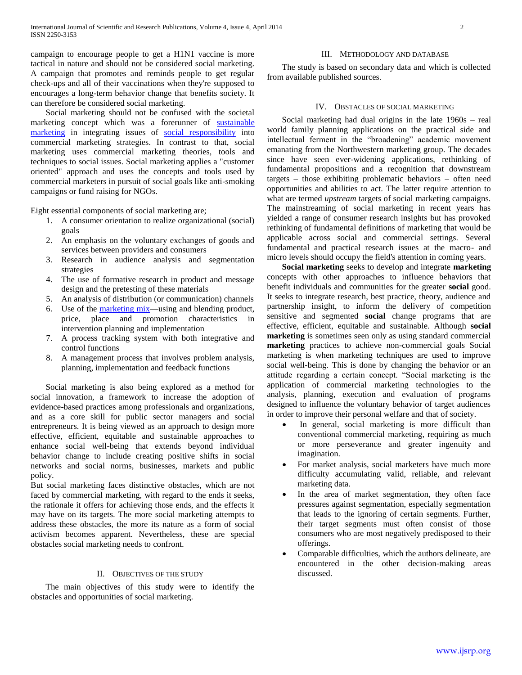campaign to encourage people to get a H1N1 vaccine is more tactical in nature and should not be considered social marketing. A campaign that promotes and reminds people to get regular check-ups and all of their vaccinations when they're supposed to encourages a long-term behavior change that benefits society. It can therefore be considered social marketing.

Social marketing should not be confused with the societal marketing concept which was a forerunner of [sustainable](http://en.wikipedia.org/wiki/Sustainable_marketing)  [marketing](http://en.wikipedia.org/wiki/Sustainable_marketing) in integrating issues of [social responsibility](http://en.wikipedia.org/wiki/Corporate_social_responsibility) into commercial marketing strategies. In contrast to that, social marketing uses commercial marketing theories, tools and techniques to social issues. Social marketing applies a "customer oriented" approach and uses the concepts and tools used by commercial marketers in pursuit of social goals like anti-smoking campaigns or fund raising for NGOs.

Eight essential components of social marketing are;

- 1. A consumer orientation to realize organizational (social) goals
- 2. An emphasis on the voluntary exchanges of goods and services between providers and consumers
- 3. Research in audience analysis and segmentation strategies
- 4. The use of formative research in product and message design and the pretesting of these materials
- 5. An analysis of distribution (or communication) channels
- 6. Use of the [marketing mix—](http://en.wikipedia.org/wiki/Marketing_mix)using and blending product, price, place and promotion characteristics in intervention planning and implementation
- 7. A process tracking system with both integrative and control functions
- 8. A management process that involves problem analysis, planning, implementation and feedback functions

Social marketing is also being explored as a method for social innovation, a framework to increase the adoption of evidence-based practices among professionals and organizations, and as a core skill for public sector managers and social entrepreneurs. It is being viewed as an approach to design more effective, efficient, equitable and sustainable approaches to enhance social well-being that extends beyond individual behavior change to include creating positive shifts in social networks and social norms, businesses, markets and public policy.

But social marketing faces distinctive obstacles, which are not faced by commercial marketing, with regard to the ends it seeks, the rationale it offers for achieving those ends, and the effects it may have on its targets. The more social marketing attempts to address these obstacles, the more its nature as a form of social activism becomes apparent. Nevertheless, these are special obstacles social marketing needs to confront.

#### II. OBJECTIVES OF THE STUDY

The main objectives of this study were to identify the obstacles and opportunities of social marketing.

#### III. METHODOLOGY AND DATABASE

The study is based on secondary data and which is collected from available published sources.

# IV. OBSTACLES OF SOCIAL MARKETING

Social marketing had dual origins in the late 1960s – real world family planning applications on the practical side and intellectual ferment in the "broadening" academic movement emanating from the Northwestern marketing group. The decades since have seen ever-widening applications, rethinking of fundamental propositions and a recognition that downstream targets – those exhibiting problematic behaviors – often need opportunities and abilities to act. The latter require attention to what are termed *upstream* targets of social marketing campaigns. The mainstreaming of social marketing in recent years has yielded a range of consumer research insights but has provoked rethinking of fundamental definitions of marketing that would be applicable across social and commercial settings. Several fundamental and practical research issues at the macro- and micro levels should occupy the field's attention in coming years.

 **Social marketing** seeks to develop and integrate **marketing** concepts with other approaches to influence behaviors that benefit individuals and communities for the greater **social** good. It seeks to integrate research, best practice, theory, audience and partnership insight, to inform the delivery of competition sensitive and segmented **social** change programs that are effective, efficient, equitable and sustainable. Although **social marketing** is sometimes seen only as using standard commercial **marketing** practices to achieve non-commercial goals Social marketing is when marketing techniques are used to improve social well-being. This is done by changing the behavior or an attitude regarding a certain concept. "Social marketing is the application of commercial marketing technologies to the analysis, planning, execution and evaluation of programs designed to influence the voluntary behavior of target audiences in order to improve their personal welfare and that of society.

- In general, social marketing is more difficult than conventional commercial marketing, requiring as much or more perseverance and greater ingenuity and imagination.
- For market analysis, social marketers have much more difficulty accumulating valid, reliable, and relevant marketing data.
- In the area of market segmentation, they often face pressures against segmentation, especially segmentation that leads to the ignoring of certain segments. Further, their target segments must often consist of those consumers who are most negatively predisposed to their offerings.
- Comparable difficulties, which the authors delineate, are encountered in the other decision-making areas discussed.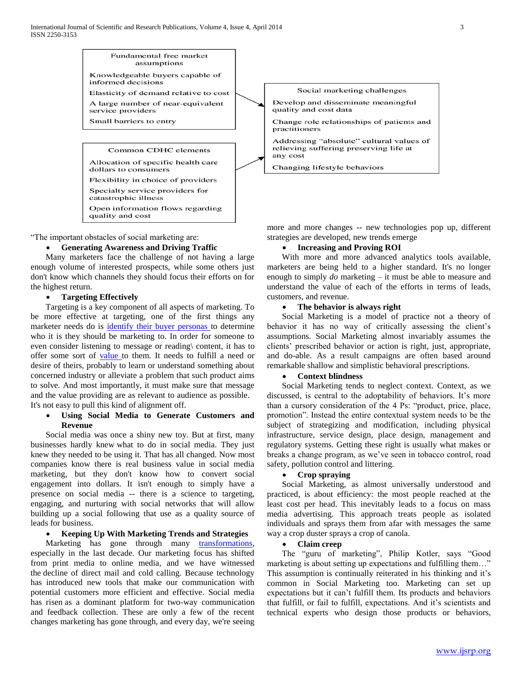

"The important obstacles of social marketing are:

# **Generating Awareness and Driving Traffic**

Many marketers face the challenge of not having a large enough volume of interested prospects, while some others just don't know which channels they should focus their efforts on for the highest return.

#### **Targeting Effectively**

Targeting is a key component of all aspects of marketing. To be more effective at targeting, one of the first things any marketer needs do is [identify their buyer personas t](http://blog.hubspot.com/blog/tabid/6307/bid/33491/Everything-Marketers-Need-to-Research-Create-Detailed-Buyer-Personas-Template.aspx)o determine who it is they should be marketing to. In order for someone to even consider listening to message or reading\ content, it has to offer some sort of [value t](http://blog.hubspot.com/blog/tabid/6307/bid/33798/Reality-Check-How-to-Tell-if-Your-Marketing-Content-Is-Actually-Valuable.aspx)o them. It needs to fulfill a need or desire of theirs, probably to learn or understand something about concerned industry or alleviate a problem that such product aims to solve. And most importantly, it must make sure that message and the value providing are as relevant to audience as possible. It's not easy to pull this kind of alignment off.

## **Using Social Media to Generate Customers and Revenue**

Social media was once a shiny new toy. But at first, many businesses hardly knew what to do in social media. They just knew they needed to be using it. That has all changed. Now most companies know there is real business value in social media marketing, but they don't know how to convert social engagement into dollars. It isn't enough to simply have a presence on social media -- there is a science to targeting, engaging, and nurturing with social networks that will allow building up a social following that use as a quality source of leads for business.

## **Keeping Up With Marketing Trends and Strategies**

Marketing has gone through many transformations, especially in the last decade. Our marketing focus has shifted from print media to online media, and we have witnessed the decline of direct mail and cold calling. Because technology has introduced new tools that make our communication with potential customers more efficient and effective. Social media has risen as a dominant platform for two-way communication and feedback collection. These are only a few of the recent changes marketing has gone through, and every day, we're seeing

more and more changes -- new technologies pop up, different strategies are developed, new trends emerge

# **Increasing and Proving ROI**

With more and more advanced analytics tools available, marketers are being held to a higher standard. It's no longer enough to simply *do* marketing – it must be able to measure and understand the value of each of the efforts in terms of leads, customers, and revenue.

#### **The behavior is always right**

Social Marketing is a model of practice not a theory of behavior it has no way of critically assessing the client's assumptions. Social Marketing almost invariably assumes the clients' prescribed behavior or action is right, just, appropriate, and do-able. As a result campaigns are often based around remarkable shallow and simplistic behavioral prescriptions.

#### **Context blindness**

Social Marketing tends to neglect context. Context, as we discussed, is central to the adoptability of behaviors. It's more than a cursory consideration of the 4 Ps: "product, price, place, promotion". Instead the entire contextual system needs to be the subject of strategizing and modification, including physical infrastructure, service design, place design, management and regulatory systems. Getting these right is usually what makes or breaks a change program, as we've seen in tobacco control, road safety, pollution control and littering.

#### **Crop spraying**

Social Marketing, as almost universally understood and practiced, is about efficiency: the most people reached at the least cost per head. This inevitably leads to a focus on mass media advertising. This approach treats people as isolated individuals and sprays them from afar with messages the same way a crop duster sprays a crop of canola.

#### **Claim creep**

The "guru of marketing", Philip Kotler, says "Good marketing is about setting up expectations and fulfilling them…" This assumption is continually reiterated in his thinking and it's common in Social Marketing too. Marketing can set up expectations but it can't fulfill them. Its products and behaviors that fulfill, or fail to fulfill, expectations. And it's scientists and technical experts who design those products or behaviors,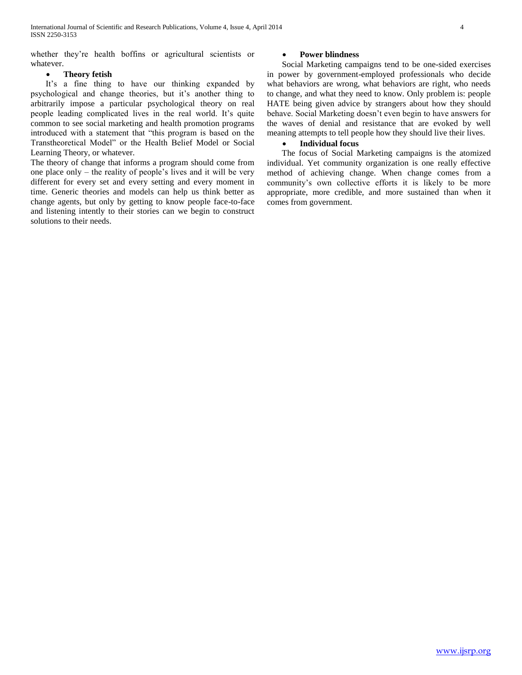whether they're health boffins or agricultural scientists or whatever.

# **Theory fetish**

It's a fine thing to have our thinking expanded by psychological and change theories, but it's another thing to arbitrarily impose a particular psychological theory on real people leading complicated lives in the real world. It's quite common to see social marketing and health promotion programs introduced with a statement that "this program is based on the Transtheoretical Model" or the Health Belief Model or Social Learning Theory, or whatever.

The theory of change that informs a program should come from one place only – the reality of people's lives and it will be very different for every set and every setting and every moment in time. Generic theories and models can help us think better as change agents, but only by getting to know people face-to-face and listening intently to their stories can we begin to construct solutions to their needs.

## **Power blindness**

Social Marketing campaigns tend to be one-sided exercises in power by government-employed professionals who decide what behaviors are wrong, what behaviors are right, who needs to change, and what they need to know. Only problem is: people HATE being given advice by strangers about how they should behave. Social Marketing doesn't even begin to have answers for the waves of denial and resistance that are evoked by well meaning attempts to tell people how they should live their lives.

# **Individual focus**

The focus of Social Marketing campaigns is the atomized individual. Yet community organization is one really effective method of achieving change. When change comes from a community's own collective efforts it is likely to be more appropriate, more credible, and more sustained than when it comes from government.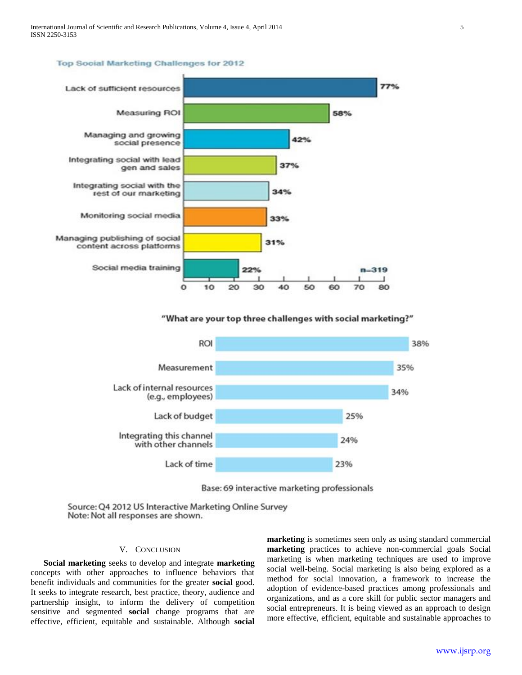#### Top Social Marketing Challenges for 2012



"What are your top three challenges with social marketing?"



Base: 69 interactive marketing professionals

Source: Q4 2012 US Interactive Marketing Online Survey Note: Not all responses are shown.

## V. CONCLUSION

 **Social marketing** seeks to develop and integrate **marketing** concepts with other approaches to influence behaviors that benefit individuals and communities for the greater **social** good. It seeks to integrate research, best practice, theory, audience and partnership insight, to inform the delivery of competition sensitive and segmented **social** change programs that are effective, efficient, equitable and sustainable. Although **social** **marketing** is sometimes seen only as using standard commercial **marketing** practices to achieve non-commercial goals Social marketing is when marketing techniques are used to improve social well-being. Social marketing is also being explored as a method for social innovation, a framework to increase the adoption of evidence-based practices among professionals and organizations, and as a core skill for public sector managers and social entrepreneurs. It is being viewed as an approach to design more effective, efficient, equitable and sustainable approaches to